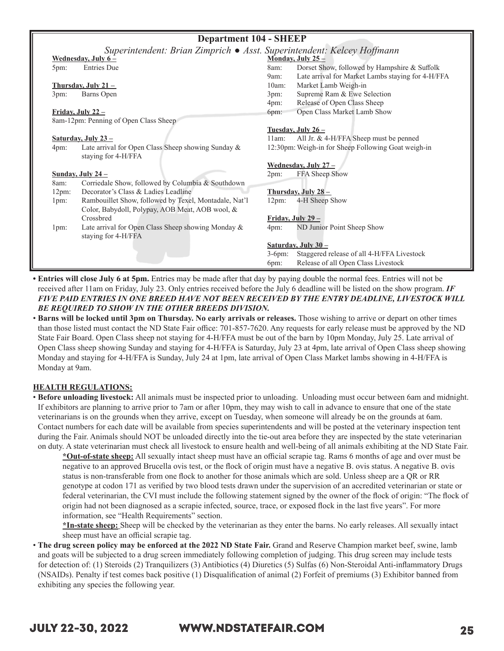| <b>Department 104 - SHEEP</b> |                                                                           |          |                                                     |  |  |  |
|-------------------------------|---------------------------------------------------------------------------|----------|-----------------------------------------------------|--|--|--|
|                               | Superintendent: Brian Zimprich ● Asst. Superintendent: Kelcey Hoffmann    |          |                                                     |  |  |  |
|                               | <u>Wednesday</u> , July $6 -$                                             |          | Monday, July 25 -                                   |  |  |  |
| 5pm:                          | <b>Entries Due</b>                                                        | 8am:     | Dorset Show, followed by Hampshire & Suffolk        |  |  |  |
|                               |                                                                           | $9$ am:  | Late arrival for Market Lambs staying for 4-H/FFA   |  |  |  |
|                               | Thursday, July $21-$                                                      | 10am:    | Market Lamb Weigh-in                                |  |  |  |
| 3pm:                          | Barns Open                                                                | 3pm:     | Supreme Ram & Ewe Selection                         |  |  |  |
|                               |                                                                           | 4pm:     | Release of Open Class Sheep                         |  |  |  |
|                               | Friday, July $22 -$                                                       | 6pm:     | Open Class Market Lamb Show                         |  |  |  |
|                               | 8am-12pm: Penning of Open Class Sheep                                     |          |                                                     |  |  |  |
|                               |                                                                           |          | Tuesday, July $26-$                                 |  |  |  |
|                               | <u>Saturday, July 23 –</u>                                                | 11am:    | All Jr. & 4-H/FFA Sheep must be penned              |  |  |  |
| 4pm:                          | Late arrival for Open Class Sheep showing Sunday &<br>staying for 4-H/FFA |          | 12:30pm: Weigh-in for Sheep Following Goat weigh-in |  |  |  |
|                               |                                                                           |          | Wednesday, July $27 -$                              |  |  |  |
|                               | Sunday, July $24-$                                                        | 2pm:     | FFA Sheep Show                                      |  |  |  |
| 8am:                          | Corriedale Show, followed by Columbia & Southdown                         |          |                                                     |  |  |  |
| 12pm:                         | Decorator's Class & Ladies Leadline                                       |          | Thursday, July 28 -                                 |  |  |  |
| 1pm:                          | Rambouillet Show, followed by Texel, Montadale, Nat'l                     | 12pm:    | 4-H Sheep Show                                      |  |  |  |
|                               | Color, Babydoll, Polypay, AOB Meat, AOB wool, &                           |          |                                                     |  |  |  |
|                               | Crossbred                                                                 |          | Friday, July $29-$                                  |  |  |  |
| 1pm:                          | Late arrival for Open Class Sheep showing Monday &                        | 4pm:     | ND Junior Point Sheep Show                          |  |  |  |
|                               | staying for 4-H/FFA                                                       |          |                                                     |  |  |  |
| Saturday, July 30 -           |                                                                           |          |                                                     |  |  |  |
|                               |                                                                           | $3-6pm:$ | Staggered release of all 4-H/FFA Livestock          |  |  |  |
|                               | Release of all Open Class Livestock<br>6pm:                               |          |                                                     |  |  |  |
|                               |                                                                           |          |                                                     |  |  |  |

**• Entries will close July 6 at 5pm.** Entries may be made after that day by paying double the normal fees. Entries will not be received after 11am on Friday, July 23. Only entries received before the July 6 deadline will be listed on the show program. *IF FIVE PAID ENTRIES IN ONE BREED HAVE NOT BEEN RECEIVED BY THE ENTRY DEADLINE, LIVESTOCK WILL BE REQUIRED TO SHOW IN THE OTHER BREEDS DIVISION.*

• **Barns will be locked until 3pm on Thursday. No early arrivals or releases.** Those wishing to arrive or depart on other times than those listed must contact the ND State Fair office: 701-857-7620. Any requests for early release must be approved by the ND State Fair Board. Open Class sheep not staying for 4-H/FFA must be out of the barn by 10pm Monday, July 25. Late arrival of Open Class sheep showing Sunday and staying for 4-H/FFA is Saturday, July 23 at 4pm, late arrival of Open Class sheep showing Monday and staying for 4-H/FFA is Sunday, July 24 at 1pm, late arrival of Open Class Market lambs showing in 4-H/FFA is Monday at 9am.

## **HEALTH REGULATIONS:**

• **Before unloading livestock:** All animals must be inspected prior to unloading. Unloading must occur between 6am and midnight. If exhibitors are planning to arrive prior to 7am or after 10pm, they may wish to call in advance to ensure that one of the state veterinarians is on the grounds when they arrive, except on Tuesday, when someone will already be on the grounds at 6am. Contact numbers for each date will be available from species superintendents and will be posted at the veterinary inspection tent during the Fair. Animals should NOT be unloaded directly into the tie-out area before they are inspected by the state veterinarian on duty. A state veterinarian must check all livestock to ensure health and well-being of all animals exhibiting at the ND State Fair.

**\*Out-of-state sheep:** All sexually intact sheep must have an official scrapie tag. Rams 6 months of age and over must be negative to an approved Brucella ovis test, or the flock of origin must have a negative B. ovis status. A negative B. ovis status is non-transferable from one flock to another for those animals which are sold. Unless sheep are a QR or RR genotype at codon 171 as verified by two blood tests drawn under the supervision of an accredited veterinarian or state or federal veterinarian, the CVI must include the following statement signed by the owner of the flock of origin: "The flock of origin had not been diagnosed as a scrapie infected, source, trace, or exposed flock in the last five years". For more information, see "Health Requirements" section.

**\*In-state sheep:** Sheep will be checked by the veterinarian as they enter the barns. No early releases. All sexually intact sheep must have an official scrapie tag.

• **The drug screen policy may be enforced at the 2022 ND State Fair.** Grand and Reserve Champion market beef, swine, lamb and goats will be subjected to a drug screen immediately following completion of judging. This drug screen may include tests for detection of: (1) Steroids (2) Tranquilizers (3) Antibiotics (4) Diuretics (5) Sulfas (6) Non-Steroidal Anti-inflammatory Drugs (NSAIDs). Penalty if test comes back positive (1) Disqualification of animal (2) Forfeit of premiums (3) Exhibitor banned from exhibiting any species the following year.

# JULY 22-30, 2022 WWW.NDSTATEFAIR.COM 25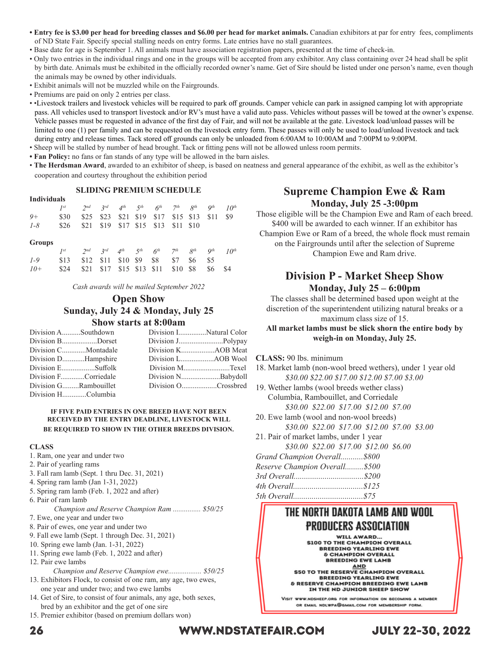- **Entry fee is \$3.00 per head for breeding classes and \$6.00 per head for market animals.** Canadian exhibitors at par for entry fees, compliments of ND State Fair. Specify special stalling needs on entry forms. Late entries have no stall guarantees.
- Base date for age is September 1. All animals must have association registration papers, presented at the time of check-in.
- Only two entries in the individual rings and one in the groups will be accepted from any exhibitor. Any class containing over 24 head shall be split by birth date. Animals must be exhibited in the officially recorded owner's name. Get of Sire should be listed under one person's name, even though the animals may be owned by other individuals.
- Exhibit animals will not be muzzled while on the Fairgrounds.
- Premiums are paid on only 2 entries per class.
- •Livestock trailers and livestock vehicles will be required to park off grounds. Camper vehicle can park in assigned camping lot with appropriate pass. All vehicles used to transport livestock and/or RV's must have a valid auto pass. Vehicles without passes will be towed at the owner's expense. Vehicle passes must be requested in advance of the first day of Fair, and will not be available at the gate. Livestock load/unload passes will be limited to one (1) per family and can be requested on the livestock entry form. These passes will only be used to load/unload livestock and tack during entry and release times. Tack stored off grounds can only be unloaded from 6:00AM to 10:00AM and 7:00PM to 9:00PM.
- Sheep will be stalled by number of head brought. Tack or fitting pens will not be allowed unless room permits.
- **Fan Policy:** no fans or fan stands of any type will be allowed in the barn aisles.
- **The Herdsman Award**, awarded to an exhibitor of sheep, is based on neatness and general appearance of the exhibit, as well as the exhibitor's cooperation and courtesy throughout the exhibition period

## **SLIDING PREMIUM SCHEDULE**

| <b>Individuals</b> |  |                                                  |  |  |  |  |  |  |  |
|--------------------|--|--------------------------------------------------|--|--|--|--|--|--|--|
|                    |  | <i>Ist</i> 2nd 3rd 4th 5th 6th 7th 8th 9th 10th  |  |  |  |  |  |  |  |
| $Q+$               |  | \$30 \$25 \$23 \$21 \$19 \$17 \$15 \$13 \$11 \$9 |  |  |  |  |  |  |  |
| $1 - 8$            |  | \$26 \$21 \$19 \$17 \$15 \$13 \$11 \$10          |  |  |  |  |  |  |  |

### **Groups**

| <b>SUPPLIT</b>                                          |                                                |  |  |  |  |
|---------------------------------------------------------|------------------------------------------------|--|--|--|--|
| $I^{st}$ 2nd 3rd 4th 5th $6^{th}$ 7th $8^{th}$ 9th 10th |                                                |  |  |  |  |
| $1 - 9$                                                 | \$13 \$12 \$11 \$10 \$9 \$8 \$7 \$6 \$5        |  |  |  |  |
| $10+$                                                   | \$24 \$21 \$17 \$15 \$13 \$11 \$10 \$8 \$6 \$4 |  |  |  |  |

*Cash awards will be mailed September 2022*

## **Open Show Sunday, July 24 & Monday, July 25 Show starts at 8:00am**

| Division ASouthdown   | Division INatural Color |
|-----------------------|-------------------------|
| Division BDorset      |                         |
| Division CMontadale   | Division KAOB Meat      |
| Division DHampshire   |                         |
| Division ESuffolk     | Division MTexel         |
| Division FCorriedale  |                         |
| Division GRambouillet | Division OCrossbred     |
| Division HColumbia    |                         |

## **IF FIVE PAID ENTRIES IN ONE BREED HAVE NOT BEEN RECEIVED BY THE ENTRY DEADLINE, LIVESTOCK WILL BE REQUIRED TO SHOW IN THE OTHER BREEDS DIVISION.**

### **CLASS**

- 1. Ram, one year and under two
- 2. Pair of yearling rams
- 3. Fall ram lamb (Sept. 1 thru Dec. 31, 2021)
- 4. Spring ram lamb (Jan 1-31, 2022)
- 5. Spring ram lamb (Feb. 1, 2022 and after)
- 6. Pair of ram lamb

*Champion and Reserve Champion Ram ............... \$50/25*

- 7. Ewe, one year and under two
- 8. Pair of ewes, one year and under two
- 9. Fall ewe lamb (Sept. 1 through Dec. 31, 2021)
- 10. Spring ewe lamb (Jan. 1-31, 2022)
- 11. Spring ewe lamb (Feb. 1, 2022 and after)
- 12. Pair ewe lambs
	- *Champion and Reserve Champion ewe.................. \$50/25*
- 13. Exhibitors Flock, to consist of one ram, any age, two ewes, one year and under two; and two ewe lambs
- 14. Get of Sire, to consist of four animals, any age, both sexes, bred by an exhibitor and the get of one sire
- 15. Premier exhibitor (based on premium dollars won)

# **Supreme Champion Ewe & Ram Monday, July 25 -3:00pm**

Those eligible will be the Champion Ewe and Ram of each breed. \$400 will be awarded to each winner. If an exhibitor has Champion Ewe or Ram of a breed, the whole flock must remain on the Fairgrounds until after the selection of Supreme Champion Ewe and Ram drive.

## **Division P - Market Sheep Show Monday, July 25 – 6:00pm**

The classes shall be determined based upon weight at the discretion of the superintendent utilizing natural breaks or a maximum class size of 15.

**All market lambs must be slick shorn the entire body by weigh-in on Monday, July 25.**

**CLASS:** 90 lbs. minimum

18. Market lamb (non-wool breed wethers), under 1 year old *\$30.00 \$22.00 \$17.00 \$12.00 \$7.00 \$3.00*

- 19. Wether lambs (wool breeds wether class) Columbia, Rambouillet, and Corriedale
	- *\$30.00 \$22.00 \$17.00 \$12.00 \$7.00*
- 20. Ewe lamb (wool and non-wool breeds) *\$30.00 \$22.00 \$17.00 \$12.00 \$7.00 \$3.00*
- 21. Pair of market lambs, under 1 year
- *\$30.00 \$22.00 \$17.00 \$12.00 \$6.00*

| Grand Champion Overall\$800   |  |
|-------------------------------|--|
| Reserve Champion Overall\$500 |  |
|                               |  |

# THE NORTH DAKOTA LAMB AND WOOL PRODUCERS ASSOCIATION

WILL AWARD.. \$100 TO THE CHAMPION OVERALL **BREEDING YEARLING EWE & CHAMPION OVERALL BREEDING EWE LAMB** 

SREEDING EWE LAMB<br>\$50 TO THE RESERVE CHAMPION OVERALL BREEDING YEARLING EWE & RESERVE CHAMPION BREEDING EWE LAMB IN THE ND JUNIOR SHEEP SHOW

WWW.NDSHEEP.ORG FOR INFORMATION ON BECOMING A MEM OR EMAIL NDLWPA@GMAIL.COM FOR MEMBERSHIP FORM.